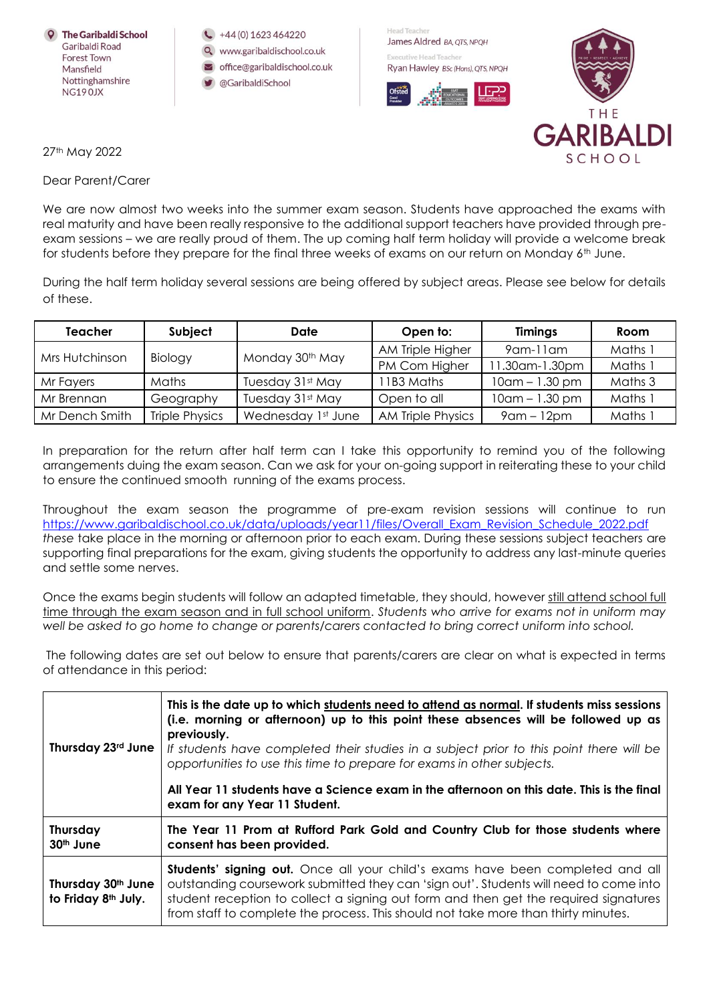

+44 (0) 1623 464220

- www.garibaldischool.co.uk
- office@garibaldischool.co.uk
- @GaribaldiSchool

Head Teacher James Aldred BA, OTS, NPOH Executive Head Teacher Ryan Hawley BSc (Hons), QTS, NPQH





27th May 2022

Dear Parent/Carer

We are now almost two weeks into the summer exam season. Students have approached the exams with real maturity and have been really responsive to the additional support teachers have provided through preexam sessions – we are really proud of them. The up coming half term holiday will provide a welcome break for students before they prepare for the final three weeks of exams on our return on Monday 6th June.

During the half term holiday several sessions are being offered by subject areas. Please see below for details of these.

| <b>Teacher</b> | Subject               | Date                        | Open to:          | <b>Timings</b>      | Room    |
|----------------|-----------------------|-----------------------------|-------------------|---------------------|---------|
| Mrs Hutchinson | Biology               | Monday 30 <sup>th</sup> May | AM Triple Higher  | $9$ am-11 am        | Maths 1 |
|                |                       |                             | PM Com Higher     | 11.30am-1.30pm      | Maths 1 |
| Mr Fayers      | Maths                 | Tuesday 31st May            | 11B3 Maths        | $10$ am $- 1.30$ pm | Maths 3 |
| Mr Brennan     | Geography             | Tuesday 31st May            | Open to all       | $10$ am $- 1.30$ pm | Maths 1 |
| Mr Dench Smith | <b>Triple Physics</b> | Wednesday 1st June          | AM Triple Physics | $9$ am – 12 $pm$    | Maths i |

In preparation for the return after half term can I take this opportunity to remind you of the following arrangements duing the exam season. Can we ask for your on-going support in reiterating these to your child to ensure the continued smooth running of the exams process.

Throughout the exam season the programme of pre-exam revision sessions will continue to run [https://www.garibaldischool.co.uk/data/uploads/year11/files/Overall\\_Exam\\_Revision\\_Schedule\\_2022.pdf](https://www.garibaldischool.co.uk/data/uploads/year11/files/Overall_Exam_Revision_Schedule_2022.pdf) *these* take place in the morning or afternoon prior to each exam. During these sessions subject teachers are supporting final preparations for the exam, giving students the opportunity to address any last-minute queries and settle some nerves.

Once the exams begin students will follow an adapted timetable, they should, however still attend school full time through the exam season and in full school uniform. *Students who arrive for exams not in uniform may well be asked to go home to change or parents/carers contacted to bring correct uniform into school.*

The following dates are set out below to ensure that parents/carers are clear on what is expected in terms of attendance in this period:

| Thursday 23rd June                                    | This is the date up to which students need to attend as normal. If students miss sessions<br>(i.e. morning or afternoon) up to this point these absences will be followed up as<br>previously.<br>If students have completed their studies in a subject prior to this point there will be<br>opportunities to use this time to prepare for exams in other subjects.<br>All Year 11 students have a Science exam in the afternoon on this date. This is the final<br>exam for any Year 11 Student. |  |  |
|-------------------------------------------------------|---------------------------------------------------------------------------------------------------------------------------------------------------------------------------------------------------------------------------------------------------------------------------------------------------------------------------------------------------------------------------------------------------------------------------------------------------------------------------------------------------|--|--|
| <b>Thursday</b><br>$30th$ June                        | The Year 11 Prom at Rufford Park Gold and Country Club for those students where<br>consent has been provided.                                                                                                                                                                                                                                                                                                                                                                                     |  |  |
| Thursday 30th June<br>to Friday 8 <sup>th</sup> July. | <b>Students' signing out.</b> Once all your child's exams have been completed and all<br>outstanding coursework submitted they can 'sign out'. Students will need to come into<br>student reception to collect a signing out form and then get the required signatures<br>from staff to complete the process. This should not take more than thirty minutes.                                                                                                                                      |  |  |